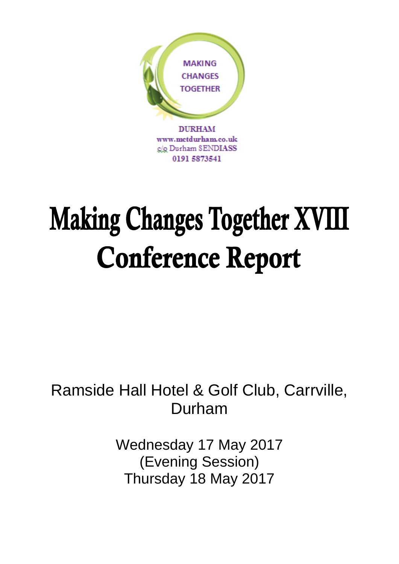

# **Making Changes Together XVIII Conference Report**

# Ramside Hall Hotel & Golf Club, Carrville, Durham

Wednesday 17 May 2017 (Evening Session) Thursday 18 May 2017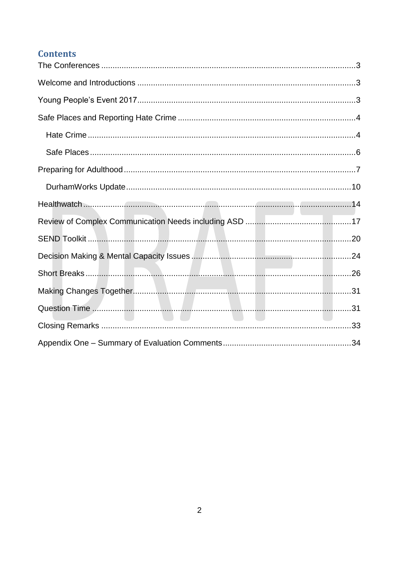#### **Contents**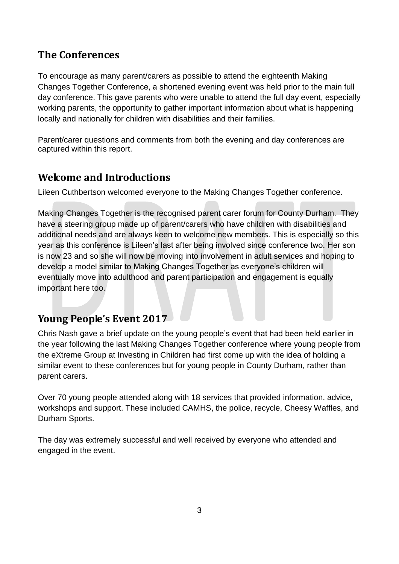## <span id="page-2-0"></span>**The Conferences**

To encourage as many parent/carers as possible to attend the eighteenth Making Changes Together Conference, a shortened evening event was held prior to the main full day conference. This gave parents who were unable to attend the full day event, especially working parents, the opportunity to gather important information about what is happening locally and nationally for children with disabilities and their families.

Parent/carer questions and comments from both the evening and day conferences are captured within this report.

## <span id="page-2-1"></span>**Welcome and Introductions**

Lileen Cuthbertson welcomed everyone to the Making Changes Together conference.

Making Changes Together is the recognised parent carer forum for County Durham. They have a steering group made up of parent/carers who have children with disabilities and additional needs and are always keen to welcome new members. This is especially so this year as this conference is Lileen's last after being involved since conference two. Her son is now 23 and so she will now be moving into involvement in adult services and hoping to develop a model similar to Making Changes Together as everyone's children will eventually move into adulthood and parent participation and engagement is equally important here too.

## <span id="page-2-2"></span>**Young People's Event 2017**

Chris Nash gave a brief update on the young people's event that had been held earlier in the year following the last Making Changes Together conference where young people from the eXtreme Group at Investing in Children had first come up with the idea of holding a similar event to these conferences but for young people in County Durham, rather than parent carers.

Over 70 young people attended along with 18 services that provided information, advice, workshops and support. These included CAMHS, the police, recycle, Cheesy Waffles, and Durham Sports.

The day was extremely successful and well received by everyone who attended and engaged in the event.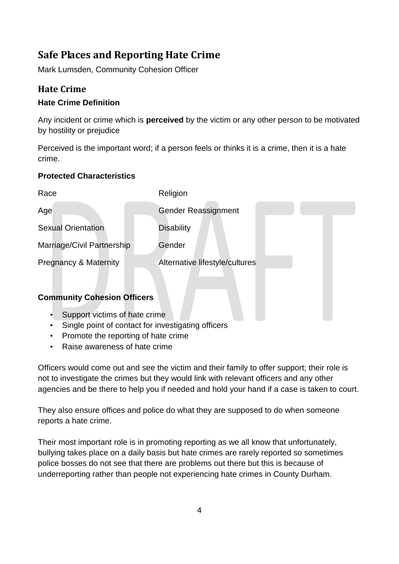## <span id="page-3-0"></span>**Safe Places and Reporting Hate Crime**

Mark Lumsden, Community Cohesion Officer

#### <span id="page-3-1"></span>**Hate Crime**

#### **Hate Crime Definition**

Any incident or crime which is **perceived** by the victim or any other person to be motivated by hostility or prejudice

Perceived is the important word; if a person feels or thinks it is a crime, then it is a hate crime.

#### **Protected Characteristics**

| Race                               | Religion                       |
|------------------------------------|--------------------------------|
| Age                                | <b>Gender Reassignment</b>     |
| <b>Sexual Orientation</b>          | <b>Disability</b>              |
| Marriage/Civil Partnership         | Gender                         |
| <b>Pregnancy &amp; Maternity</b>   | Alternative lifestyle/cultures |
|                                    |                                |
| <b>Community Cohesion Officers</b> |                                |

- Support victims of hate crime
- Single point of contact for investigating officers
- Promote the reporting of hate crime
- Raise awareness of hate crime

Officers would come out and see the victim and their family to offer support; their role is not to investigate the crimes but they would link with relevant officers and any other agencies and be there to help you if needed and hold your hand if a case is taken to court.

They also ensure offices and police do what they are supposed to do when someone reports a hate crime.

Their most important role is in promoting reporting as we all know that unfortunately, bullying takes place on a daily basis but hate crimes are rarely reported so sometimes police bosses do not see that there are problems out there but this is because of underreporting rather than people not experiencing hate crimes in County Durham.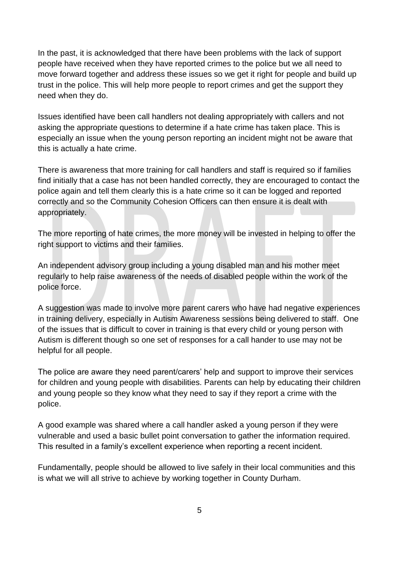In the past, it is acknowledged that there have been problems with the lack of support people have received when they have reported crimes to the police but we all need to move forward together and address these issues so we get it right for people and build up trust in the police. This will help more people to report crimes and get the support they need when they do.

Issues identified have been call handlers not dealing appropriately with callers and not asking the appropriate questions to determine if a hate crime has taken place. This is especially an issue when the young person reporting an incident might not be aware that this is actually a hate crime.

There is awareness that more training for call handlers and staff is required so if families find initially that a case has not been handled correctly, they are encouraged to contact the police again and tell them clearly this is a hate crime so it can be logged and reported correctly and so the Community Cohesion Officers can then ensure it is dealt with appropriately.

The more reporting of hate crimes, the more money will be invested in helping to offer the right support to victims and their families.

An independent advisory group including a young disabled man and his mother meet regularly to help raise awareness of the needs of disabled people within the work of the police force.

A suggestion was made to involve more parent carers who have had negative experiences in training delivery, especially in Autism Awareness sessions being delivered to staff. One of the issues that is difficult to cover in training is that every child or young person with Autism is different though so one set of responses for a call hander to use may not be helpful for all people.

The police are aware they need parent/carers' help and support to improve their services for children and young people with disabilities. Parents can help by educating their children and young people so they know what they need to say if they report a crime with the police.

A good example was shared where a call handler asked a young person if they were vulnerable and used a basic bullet point conversation to gather the information required. This resulted in a family's excellent experience when reporting a recent incident.

Fundamentally, people should be allowed to live safely in their local communities and this is what we will all strive to achieve by working together in County Durham.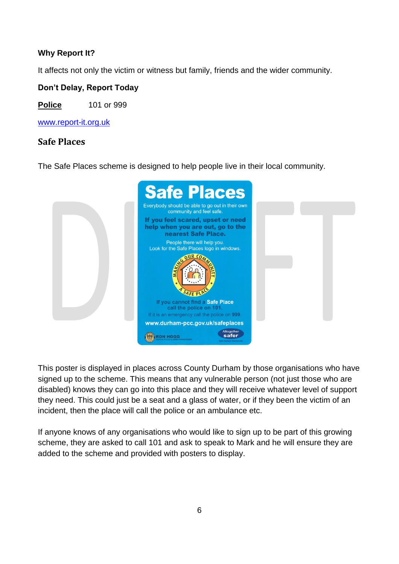#### **Why Report It?**

It affects not only the victim or witness but family, friends and the wider community.

**Don't Delay, Report Today**

**Police** 101 or 999

[www.report-it.org.uk](http://www.report-it.org.uk/)

#### <span id="page-5-0"></span>**Safe Places**

The Safe Places scheme is designed to help people live in their local community.



This poster is displayed in places across County Durham by those organisations who have signed up to the scheme. This means that any vulnerable person (not just those who are disabled) knows they can go into this place and they will receive whatever level of support they need. This could just be a seat and a glass of water, or if they been the victim of an incident, then the place will call the police or an ambulance etc.

If anyone knows of any organisations who would like to sign up to be part of this growing scheme, they are asked to call 101 and ask to speak to Mark and he will ensure they are added to the scheme and provided with posters to display.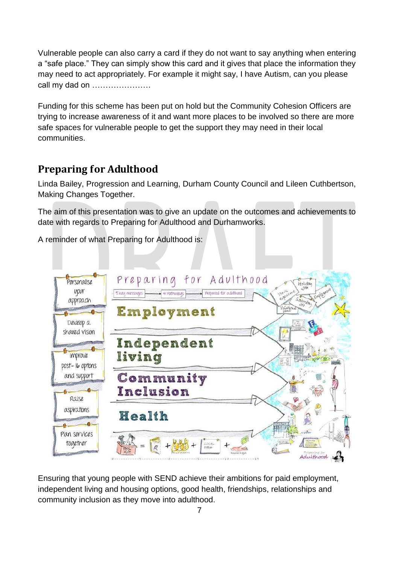Vulnerable people can also carry a card if they do not want to say anything when entering a "safe place." They can simply show this card and it gives that place the information they may need to act appropriately. For example it might say, I have Autism, can you please call my dad on ………………….

Funding for this scheme has been put on hold but the Community Cohesion Officers are trying to increase awareness of it and want more places to be involved so there are more safe spaces for vulnerable people to get the support they may need in their local communities.

## <span id="page-6-0"></span>**Preparing for Adulthood**

Linda Bailey, Progression and Learning, Durham County Council and Lileen Cuthbertson, Making Changes Together.

The aim of this presentation was to give an update on the outcomes and achievements to date with regards to Preparing for Adulthood and Durhamworks.

A reminder of what Preparing for Adulthood is:



Ensuring that young people with SEND achieve their ambitions for paid employment, independent living and housing options, good health, friendships, relationships and community inclusion as they move into adulthood.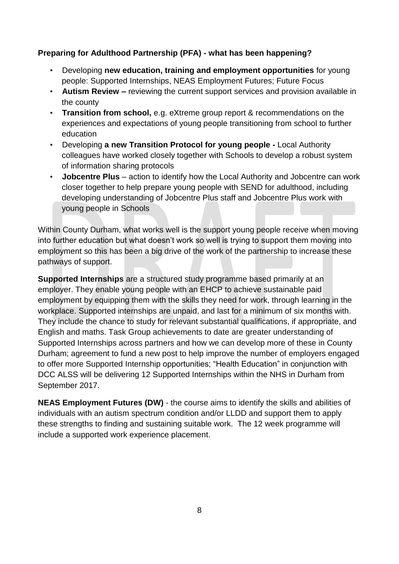#### **Preparing for Adulthood Partnership (PFA) - what has been happening?**

- Developing **new education, training and employment opportunities** for young people: Supported Internships, NEAS Employment Futures; Future Focus
- **Autism Review –** reviewing the current support services and provision available in the county
- **Transition from school,** e.g. eXtreme group report & recommendations on the experiences and expectations of young people transitioning from school to further education
- Developing **a new Transition Protocol for young people -** Local Authority colleagues have worked closely together with Schools to develop a robust system of information sharing protocols
- **Jobcentre Plus** action to identify how the Local Authority and Jobcentre can work closer together to help prepare young people with SEND for adulthood, including developing understanding of Jobcentre Plus staff and Jobcentre Plus work with young people in Schools

Within County Durham, what works well is the support young people receive when moving into further education but what doesn't work so well is trying to support them moving into employment so this has been a big drive of the work of the partnership to increase these pathways of support.

**Supported Internships** are a structured study programme based primarily at an employer. They enable young people with an EHCP to achieve sustainable paid employment by equipping them with the skills they need for work, through learning in the workplace. Supported internships are unpaid, and last for a minimum of six months with. They include the chance to study for relevant substantial qualifications, if appropriate, and English and maths. Task Group achievements to date are greater understanding of Supported Internships across partners and how we can develop more of these in County Durham; agreement to fund a new post to help improve the number of employers engaged to offer more Supported Internship opportunities; "Health Education" in conjunction with DCC ALSS will be delivering 12 Supported Internships within the NHS in Durham from September 2017.

**NEAS Employment Futures (DW)** - the course aims to identify the skills and abilities of individuals with an autism spectrum condition and/or LLDD and support them to apply these strengths to finding and sustaining suitable work. The 12 week programme will include a supported work experience placement.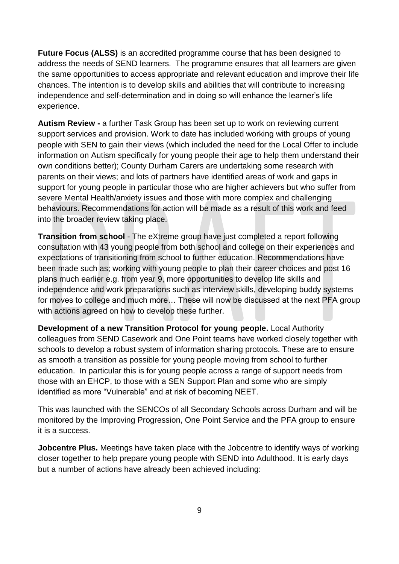**Future Focus (ALSS)** is an accredited programme course that has been designed to address the needs of SEND learners. The programme ensures that all learners are given the same opportunities to access appropriate and relevant education and improve their life chances. The intention is to develop skills and abilities that will contribute to increasing independence and self-determination and in doing so will enhance the learner's life experience.

**Autism Review -** a further Task Group has been set up to work on reviewing current support services and provision. Work to date has included working with groups of young people with SEN to gain their views (which included the need for the Local Offer to include information on Autism specifically for young people their age to help them understand their own conditions better); County Durham Carers are undertaking some research with parents on their views; and lots of partners have identified areas of work and gaps in support for young people in particular those who are higher achievers but who suffer from severe Mental Health/anxiety issues and those with more complex and challenging behaviours. Recommendations for action will be made as a result of this work and feed into the broader review taking place.

**Transition from school** - The eXtreme group have just completed a report following consultation with 43 young people from both school and college on their experiences and expectations of transitioning from school to further education. Recommendations have been made such as; working with young people to plan their career choices and post 16 plans much earlier e.g. from year 9, more opportunities to develop life skills and independence and work preparations such as interview skills, developing buddy systems for moves to college and much more… These will now be discussed at the next PFA group with actions agreed on how to develop these further.

**Development of a new Transition Protocol for young people.** Local Authority colleagues from SEND Casework and One Point teams have worked closely together with schools to develop a robust system of information sharing protocols. These are to ensure as smooth a transition as possible for young people moving from school to further education. In particular this is for young people across a range of support needs from those with an EHCP, to those with a SEN Support Plan and some who are simply identified as more "Vulnerable" and at risk of becoming NEET.

This was launched with the SENCOs of all Secondary Schools across Durham and will be monitored by the Improving Progression, One Point Service and the PFA group to ensure it is a success.

**Jobcentre Plus.** Meetings have taken place with the Jobcentre to identify ways of working closer together to help prepare young people with SEND into Adulthood. It is early days but a number of actions have already been achieved including: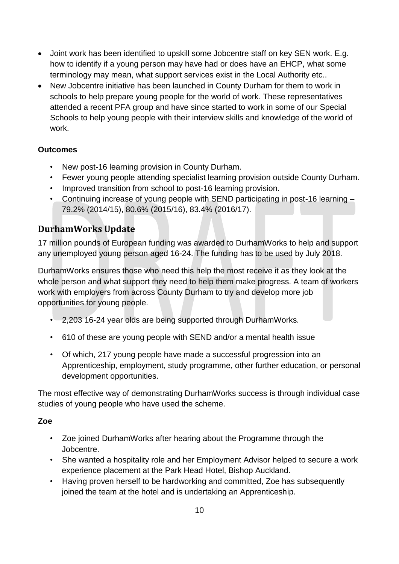- Joint work has been identified to upskill some Jobcentre staff on key SEN work. E.g. how to identify if a young person may have had or does have an EHCP, what some terminology may mean, what support services exist in the Local Authority etc..
- New Jobcentre initiative has been launched in County Durham for them to work in schools to help prepare young people for the world of work. These representatives attended a recent PFA group and have since started to work in some of our Special Schools to help young people with their interview skills and knowledge of the world of work.

#### **Outcomes**

- New post-16 learning provision in County Durham.
- Fewer young people attending specialist learning provision outside County Durham.
- Improved transition from school to post-16 learning provision.
- Continuing increase of young people with SEND participating in post-16 learning 79.2% (2014/15), 80.6% (2015/16), 83.4% (2016/17).

#### <span id="page-9-0"></span>**DurhamWorks Update**

17 million pounds of European funding was awarded to DurhamWorks to help and support any unemployed young person aged 16-24. The funding has to be used by July 2018.

DurhamWorks ensures those who need this help the most receive it as they look at the whole person and what support they need to help them make progress. A team of workers work with employers from across County Durham to try and develop more job opportunities for young people.

- 2,203 16-24 year olds are being supported through DurhamWorks.
- 610 of these are young people with SEND and/or a mental health issue
- Of which, 217 young people have made a successful progression into an Apprenticeship, employment, study programme, other further education, or personal development opportunities.

The most effective way of demonstrating DurhamWorks success is through individual case studies of young people who have used the scheme.

#### **Zoe**

- Zoe joined DurhamWorks after hearing about the Programme through the Jobcentre.
- She wanted a hospitality role and her Employment Advisor helped to secure a work experience placement at the Park Head Hotel, Bishop Auckland.
- Having proven herself to be hardworking and committed, Zoe has subsequently joined the team at the hotel and is undertaking an Apprenticeship.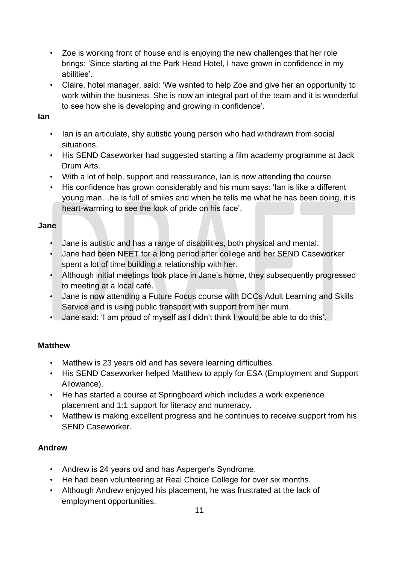- Zoe is working front of house and is enjoying the new challenges that her role brings: 'Since starting at the Park Head Hotel, I have grown in confidence in my abilities'.
- Claire, hotel manager, said: 'We wanted to help Zoe and give her an opportunity to work within the business. She is now an integral part of the team and it is wonderful to see how she is developing and growing in confidence'.

#### **Ian**

- Ian is an articulate, shy autistic young person who had withdrawn from social situations.
- His SEND Caseworker had suggested starting a film academy programme at Jack Drum Arts.
- With a lot of help, support and reassurance, Ian is now attending the course.
- His confidence has grown considerably and his mum says: 'Ian is like a different young man…he is full of smiles and when he tells me what he has been doing, it is heart-warming to see the look of pride on his face'.

#### **Jane**

- Jane is autistic and has a range of disabilities, both physical and mental.
- Jane had been NEET for a long period after college and her SEND Caseworker spent a lot of time building a relationship with her.
- Although initial meetings took place in Jane's home, they subsequently progressed to meeting at a local café.
- Jane is now attending a Future Focus course with DCCs Adult Learning and Skills Service and is using public transport with support from her mum.
- Jane said: 'I am proud of myself as I didn't think I would be able to do this'.

#### **Matthew**

- Matthew is 23 years old and has severe learning difficulties.
- His SEND Caseworker helped Matthew to apply for ESA (Employment and Support Allowance).
- He has started a course at Springboard which includes a work experience placement and 1:1 support for literacy and numeracy.
- Matthew is making excellent progress and he continues to receive support from his SEND Caseworker.

#### **Andrew**

- Andrew is 24 years old and has Asperger's Syndrome.
- He had been volunteering at Real Choice College for over six months.
- Although Andrew enjoyed his placement, he was frustrated at the lack of employment opportunities.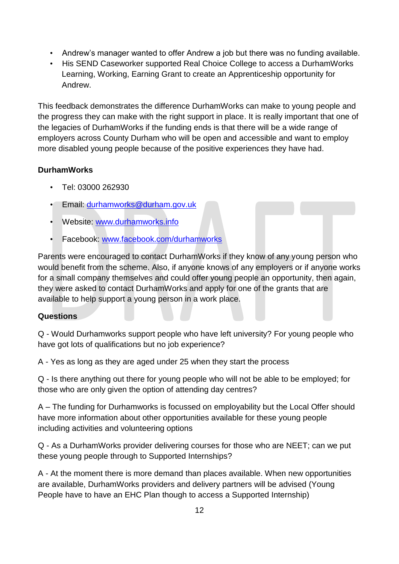- Andrew's manager wanted to offer Andrew a job but there was no funding available.
- His SEND Caseworker supported Real Choice College to access a DurhamWorks Learning, Working, Earning Grant to create an Apprenticeship opportunity for Andrew.

This feedback demonstrates the difference DurhamWorks can make to young people and the progress they can make with the right support in place. It is really important that one of the legacies of DurhamWorks if the funding ends is that there will be a wide range of employers across County Durham who will be open and accessible and want to employ more disabled young people because of the positive experiences they have had.

#### **DurhamWorks**

- Tel: 03000 262930
- Email: [durhamworks@durham.gov.uk](mailto:durhamworks@durham.gov.uk)
- Website: [www.durhamworks.info](http://www.durhamworks.info/)
- Facebook: [www.facebook.com/durhamworks](http://www.facebook.com/durhamworks)

Parents were encouraged to contact DurhamWorks if they know of any young person who would benefit from the scheme. Also, if anyone knows of any employers or if anyone works for a small company themselves and could offer young people an opportunity, then again, they were asked to contact DurhamWorks and apply for one of the grants that are available to help support a young person in a work place.

#### **Questions**

Q - Would Durhamworks support people who have left university? For young people who have got lots of qualifications but no job experience?

A - Yes as long as they are aged under 25 when they start the process

Q - Is there anything out there for young people who will not be able to be employed; for those who are only given the option of attending day centres?

A – The funding for Durhamworks is focussed on employability but the Local Offer should have more information about other opportunities available for these young people including activities and volunteering options

Q - As a DurhamWorks provider delivering courses for those who are NEET; can we put these young people through to Supported Internships?

A - At the moment there is more demand than places available. When new opportunities are available, DurhamWorks providers and delivery partners will be advised (Young People have to have an EHC Plan though to access a Supported Internship)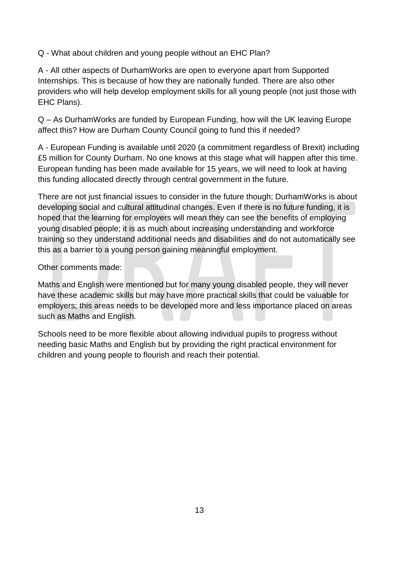Q - What about children and young people without an EHC Plan?

A - All other aspects of DurhamWorks are open to everyone apart from Supported Internships. This is because of how they are nationally funded. There are also other providers who will help develop employment skills for all young people (not just those with EHC Plans).

Q – As DurhamWorks are funded by European Funding, how will the UK leaving Europe affect this? How are Durham County Council going to fund this if needed?

A - European Funding is available until 2020 (a commitment regardless of Brexit) including £5 million for County Durham. No one knows at this stage what will happen after this time. European funding has been made available for 15 years, we will need to look at having this funding allocated directly through central government in the future.

There are not just financial issues to consider in the future though; DurhamWorks is about developing social and cultural attitudinal changes. Even if there is no future funding, it is hoped that the learning for employers will mean they can see the benefits of employing young disabled people; it is as much about increasing understanding and workforce training so they understand additional needs and disabilities and do not automatically see this as a barrier to a young person gaining meaningful employment.

#### Other comments made:

Maths and English were mentioned but for many young disabled people, they will never have these academic skills but may have more practical skills that could be valuable for employers; this areas needs to be developed more and less importance placed on areas such as Maths and English.

Schools need to be more flexible about allowing individual pupils to progress without needing basic Maths and English but by providing the right practical environment for children and young people to flourish and reach their potential.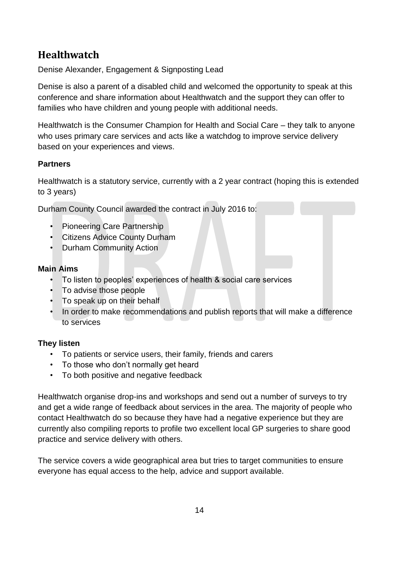## <span id="page-13-0"></span>**Healthwatch**

Denise Alexander, Engagement & Signposting Lead

Denise is also a parent of a disabled child and welcomed the opportunity to speak at this conference and share information about Healthwatch and the support they can offer to families who have children and young people with additional needs.

Healthwatch is the Consumer Champion for Health and Social Care – they talk to anyone who uses primary care services and acts like a watchdog to improve service delivery based on your experiences and views.

#### **Partners**

Healthwatch is a statutory service, currently with a 2 year contract (hoping this is extended to 3 years)

Durham County Council awarded the contract in July 2016 to:

- Pioneering Care Partnership
- Citizens Advice County Durham
- Durham Community Action

#### **Main Aims**

- To listen to peoples' experiences of health & social care services
- To advise those people
- To speak up on their behalf
- In order to make recommendations and publish reports that will make a difference to services

#### **They listen**

- To patients or service users, their family, friends and carers
- To those who don't normally get heard
- To both positive and negative feedback

Healthwatch organise drop-ins and workshops and send out a number of surveys to try and get a wide range of feedback about services in the area. The majority of people who contact Healthwatch do so because they have had a negative experience but they are currently also compiling reports to profile two excellent local GP surgeries to share good practice and service delivery with others.

The service covers a wide geographical area but tries to target communities to ensure everyone has equal access to the help, advice and support available.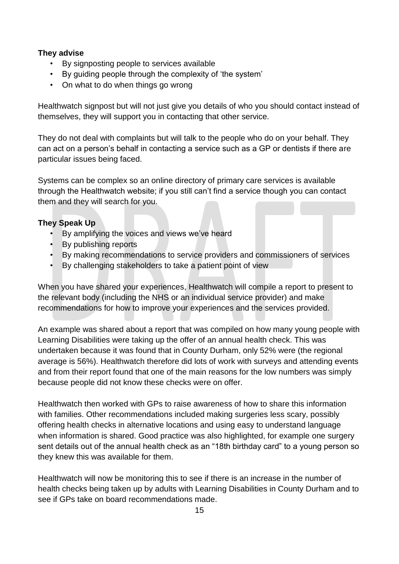#### **They advise**

- By signposting people to services available
- By guiding people through the complexity of 'the system'
- On what to do when things go wrong

Healthwatch signpost but will not just give you details of who you should contact instead of themselves, they will support you in contacting that other service.

They do not deal with complaints but will talk to the people who do on your behalf. They can act on a person's behalf in contacting a service such as a GP or dentists if there are particular issues being faced.

Systems can be complex so an online directory of primary care services is available through the Healthwatch website; if you still can't find a service though you can contact them and they will search for you.

#### **They Speak Up**

- By amplifying the voices and views we've heard
- By publishing reports
- By making recommendations to service providers and commissioners of services
- By challenging stakeholders to take a patient point of view

When you have shared your experiences, Healthwatch will compile a report to present to the relevant body (including the NHS or an individual service provider) and make recommendations for how to improve your experiences and the services provided.

An example was shared about a report that was compiled on how many young people with Learning Disabilities were taking up the offer of an annual health check. This was undertaken because it was found that in County Durham, only 52% were (the regional average is 56%). Healthwatch therefore did lots of work with surveys and attending events and from their report found that one of the main reasons for the low numbers was simply because people did not know these checks were on offer.

Healthwatch then worked with GPs to raise awareness of how to share this information with families. Other recommendations included making surgeries less scary, possibly offering health checks in alternative locations and using easy to understand language when information is shared. Good practice was also highlighted, for example one surgery sent details out of the annual health check as an "18th birthday card" to a young person so they knew this was available for them.

Healthwatch will now be monitoring this to see if there is an increase in the number of health checks being taken up by adults with Learning Disabilities in County Durham and to see if GPs take on board recommendations made.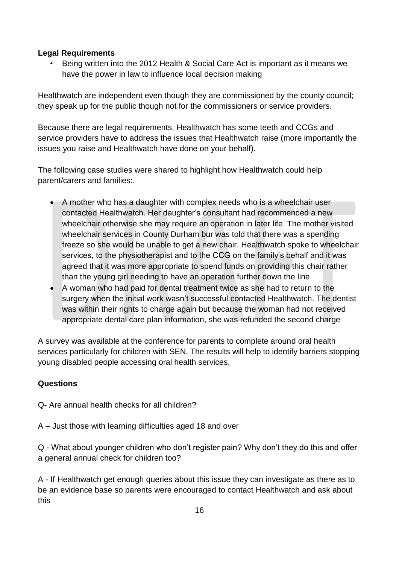#### **Legal Requirements**

• Being written into the 2012 Health & Social Care Act is important as it means we have the power in law to influence local decision making

Healthwatch are independent even though they are commissioned by the county council; they speak up for the public though not for the commissioners or service providers.

Because there are legal requirements, Healthwatch has some teeth and CCGs and service providers have to address the issues that Healthwatch raise (more importantly the issues you raise and Healthwatch have done on your behalf).

The following case studies were shared to highlight how Healthwatch could help parent/carers and families:.

- A mother who has a daughter with complex needs who is a wheelchair user contacted Healthwatch. Her daughter's consultant had recommended a new wheelchair otherwise she may require an operation in later life. The mother visited wheelchair services in County Durham bur was told that there was a spending freeze so she would be unable to get a new chair. Healthwatch spoke to wheelchair services, to the physiotherapist and to the CCG on the family's behalf and it was agreed that it was more appropriate to spend funds on providing this chair rather than the young girl needing to have an operation further down the line
- A woman who had paid for dental treatment twice as she had to return to the surgery when the initial work wasn't successful contacted Healthwatch. The dentist was within their rights to charge again but because the woman had not received appropriate dental care plan information, she was refunded the second charge

A survey was available at the conference for parents to complete around oral health services particularly for children with SEN. The results will help to identify barriers stopping young disabled people accessing oral health services.

#### **Questions**

Q- Are annual health checks for all children?

A – Just those with learning difficulties aged 18 and over

Q - What about younger children who don't register pain? Why don't they do this and offer a general annual check for children too?

A - If Healthwatch get enough queries about this issue they can investigate as there as to be an evidence base so parents were encouraged to contact Healthwatch and ask about this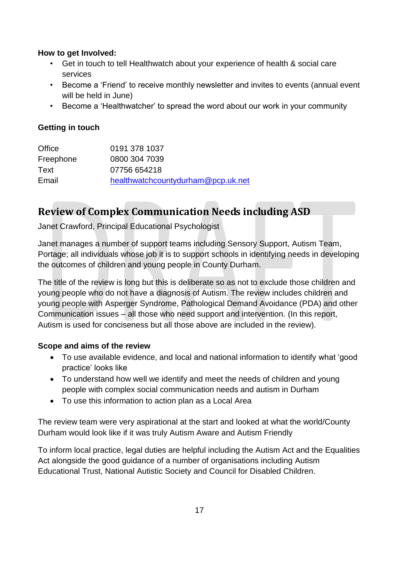#### **How to get Involved:**

- Get in touch to tell Healthwatch about your experience of health & social care services
- Become a 'Friend' to receive monthly newsletter and invites to events (annual event will be held in June)
- Become a 'Healthwatcher' to spread the word about our work in your community

#### **Getting in touch**

| Office    | 0191 378 1037                      |
|-----------|------------------------------------|
| Freephone | 0800 304 7039                      |
| Text      | 07756 654218                       |
| Email     | healthwatchcountydurham@pcp.uk.net |

## <span id="page-16-0"></span>**Review of Complex Communication Needs including ASD**

Janet Crawford, Principal Educational Psychologist

Janet manages a number of support teams including Sensory Support, Autism Team, Portage; all individuals whose job it is to support schools in identifying needs in developing the outcomes of children and young people in County Durham.

The title of the review is long but this is deliberate so as not to exclude those children and young people who do not have a diagnosis of Autism. The review includes children and young people with Asperger Syndrome, Pathological Demand Avoidance (PDA) and other Communication issues – all those who need support and intervention. (In this report, Autism is used for conciseness but all those above are included in the review).

#### **Scope and aims of the review**

- To use available evidence, and local and national information to identify what 'good practice' looks like
- To understand how well we identify and meet the needs of children and young people with complex social communication needs and autism in Durham
- To use this information to action plan as a Local Area

The review team were very aspirational at the start and looked at what the world/County Durham would look like if it was truly Autism Aware and Autism Friendly

To inform local practice, legal duties are helpful including the Autism Act and the Equalities Act alongside the good guidance of a number of organisations including Autism Educational Trust, National Autistic Society and Council for Disabled Children.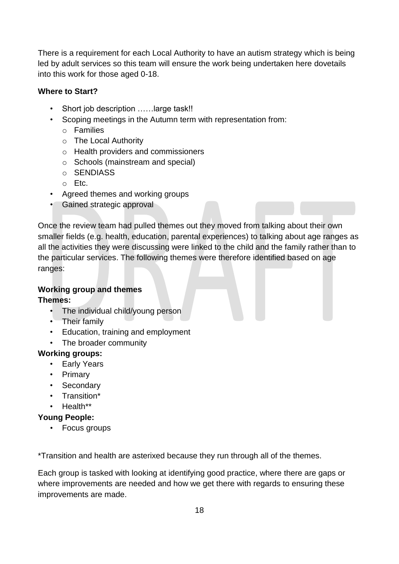There is a requirement for each Local Authority to have an autism strategy which is being led by adult services so this team will ensure the work being undertaken here dovetails into this work for those aged 0-18.

#### **Where to Start?**

- Short job description ……large task!!
- Scoping meetings in the Autumn term with representation from:
	- o Families
	- o The Local Authority
	- o Health providers and commissioners
	- o Schools (mainstream and special)
	- o SENDIASS
	- o Etc.
- Agreed themes and working groups
- Gained strategic approval

Once the review team had pulled themes out they moved from talking about their own smaller fields (e.g. health, education, parental experiences) to talking about age ranges as all the activities they were discussing were linked to the child and the family rather than to the particular services. The following themes were therefore identified based on age ranges:

#### **Working group and themes**

**Themes:**

- The individual child/young person
- Their family
- Education, training and employment
- The broader community

#### **Working groups:**

- Early Years
- Primary
- Secondary
- Transition\*
- Health\*\*

#### **Young People:**

• Focus groups

\*Transition and health are asterixed because they run through all of the themes.

Each group is tasked with looking at identifying good practice, where there are gaps or where improvements are needed and how we get there with regards to ensuring these improvements are made.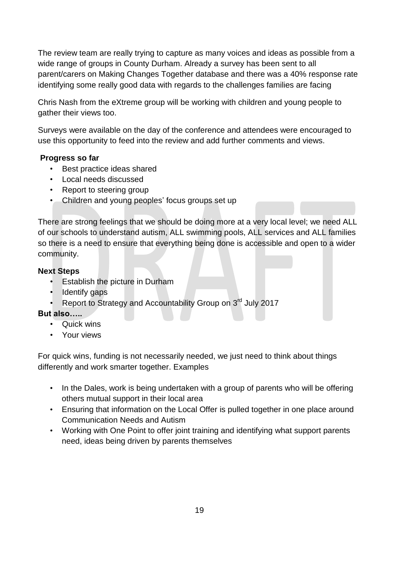The review team are really trying to capture as many voices and ideas as possible from a wide range of groups in County Durham. Already a survey has been sent to all parent/carers on Making Changes Together database and there was a 40% response rate identifying some really good data with regards to the challenges families are facing

Chris Nash from the eXtreme group will be working with children and young people to gather their views too.

Surveys were available on the day of the conference and attendees were encouraged to use this opportunity to feed into the review and add further comments and views.

#### **Progress so far**

- Best practice ideas shared
- Local needs discussed
- Report to steering group
- Children and young peoples' focus groups set up

There are strong feelings that we should be doing more at a very local level; we need ALL of our schools to understand autism, ALL swimming pools, ALL services and ALL families so there is a need to ensure that everything being done is accessible and open to a wider community.

#### **Next Steps**

- Establish the picture in Durham
- **Identify gaps**
- Report to Strategy and Accountability Group on 3<sup>rd</sup> July 2017

#### **But also…..**

- Quick wins
- Your views

For quick wins, funding is not necessarily needed, we just need to think about things differently and work smarter together. Examples

- In the Dales, work is being undertaken with a group of parents who will be offering others mutual support in their local area
- Ensuring that information on the Local Offer is pulled together in one place around Communication Needs and Autism
- Working with One Point to offer joint training and identifying what support parents need, ideas being driven by parents themselves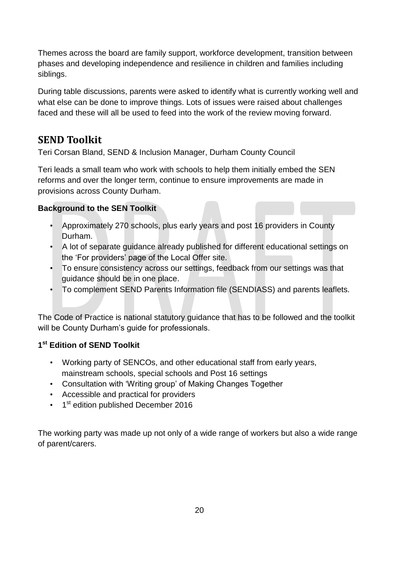Themes across the board are family support, workforce development, transition between phases and developing independence and resilience in children and families including siblings.

During table discussions, parents were asked to identify what is currently working well and what else can be done to improve things. Lots of issues were raised about challenges faced and these will all be used to feed into the work of the review moving forward.

## <span id="page-19-0"></span>**SEND Toolkit**

Teri Corsan Bland, SEND & Inclusion Manager, Durham County Council

Teri leads a small team who work with schools to help them initially embed the SEN reforms and over the longer term, continue to ensure improvements are made in provisions across County Durham.

#### **Background to the SEN Toolkit**

- Approximately 270 schools, plus early years and post 16 providers in County Durham.
- A lot of separate guidance already published for different educational settings on the 'For providers' page of the Local Offer site.
- To ensure consistency across our settings, feedback from our settings was that guidance should be in one place.
- To complement SEND Parents Information file (SENDIASS) and parents leaflets.

The Code of Practice is national statutory guidance that has to be followed and the toolkit will be County Durham's guide for professionals.

#### **1 st Edition of SEND Toolkit**

- Working party of SENCOs, and other educational staff from early years, mainstream schools, special schools and Post 16 settings
- Consultation with 'Writing group' of Making Changes Together
- Accessible and practical for providers
- 1<sup>st</sup> edition published December 2016

The working party was made up not only of a wide range of workers but also a wide range of parent/carers.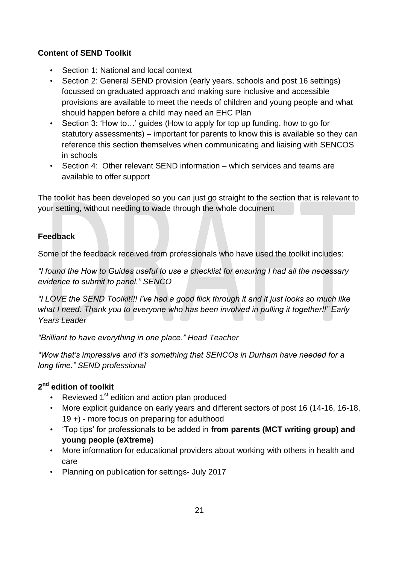#### **Content of SEND Toolkit**

- Section 1: National and local context
- Section 2: General SEND provision (early years, schools and post 16 settings) focussed on graduated approach and making sure inclusive and accessible provisions are available to meet the needs of children and young people and what should happen before a child may need an EHC Plan
- Section 3: 'How to...' guides (How to apply for top up funding, how to go for statutory assessments) – important for parents to know this is available so they can reference this section themselves when communicating and liaising with SENCOS in schools
- Section 4: Other relevant SEND information which services and teams are available to offer support

The toolkit has been developed so you can just go straight to the section that is relevant to your setting, without needing to wade through the whole document

#### **Feedback**

Some of the feedback received from professionals who have used the toolkit includes:

*"I found the How to Guides useful to use a checklist for ensuring I had all the necessary evidence to submit to panel." SENCO*

*"I LOVE the SEND Toolkit!!! I've had a good flick through it and it just looks so much like what I need. Thank you to everyone who has been involved in pulling it together!!" Early Years Leader* 

*"Brilliant to have everything in one place." Head Teacher*

*"Wow that's impressive and it's something that SENCOs in Durham have needed for a long time." SEND professional*

#### **2 nd edition of toolkit**

- Reviewed 1<sup>st</sup> edition and action plan produced
- More explicit guidance on early years and different sectors of post 16 (14-16, 16-18, 19 +) - more focus on preparing for adulthood
- 'Top tips' for professionals to be added in **from parents (MCT writing group) and young people (eXtreme)**
- More information for educational providers about working with others in health and care
- Planning on publication for settings- July 2017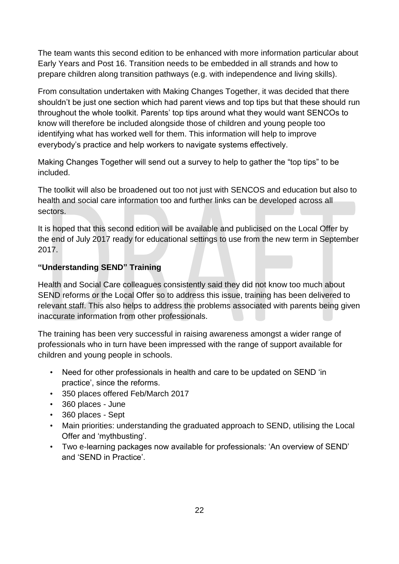The team wants this second edition to be enhanced with more information particular about Early Years and Post 16. Transition needs to be embedded in all strands and how to prepare children along transition pathways (e.g. with independence and living skills).

From consultation undertaken with Making Changes Together, it was decided that there shouldn't be just one section which had parent views and top tips but that these should run throughout the whole toolkit. Parents' top tips around what they would want SENCOs to know will therefore be included alongside those of children and young people too identifying what has worked well for them. This information will help to improve everybody's practice and help workers to navigate systems effectively.

Making Changes Together will send out a survey to help to gather the "top tips" to be included.

The toolkit will also be broadened out too not just with SENCOS and education but also to health and social care information too and further links can be developed across all sectors.

It is hoped that this second edition will be available and publicised on the Local Offer by the end of July 2017 ready for educational settings to use from the new term in September 2017.

#### **"Understanding SEND" Training**

Health and Social Care colleagues consistently said they did not know too much about SEND reforms or the Local Offer so to address this issue, training has been delivered to relevant staff. This also helps to address the problems associated with parents being given inaccurate information from other professionals.

The training has been very successful in raising awareness amongst a wider range of professionals who in turn have been impressed with the range of support available for children and young people in schools.

- Need for other professionals in health and care to be updated on SEND 'in practice', since the reforms.
- 350 places offered Feb/March 2017
- 360 places June
- 360 places Sept
- Main priorities: understanding the graduated approach to SEND, utilising the Local Offer and 'mythbusting'.
- Two e-learning packages now available for professionals: 'An overview of SEND' and 'SEND in Practice'.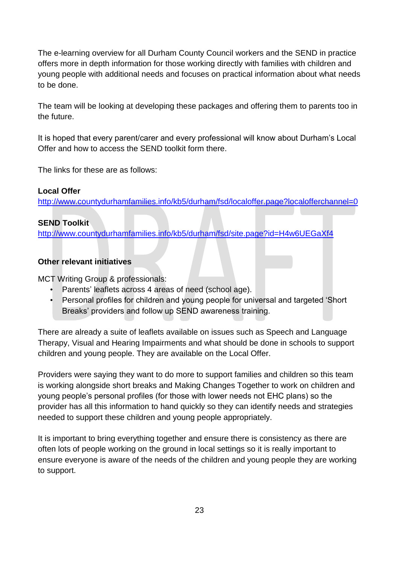The e-learning overview for all Durham County Council workers and the SEND in practice offers more in depth information for those working directly with families with children and young people with additional needs and focuses on practical information about what needs to be done.

The team will be looking at developing these packages and offering them to parents too in the future.

It is hoped that every parent/carer and every professional will know about Durham's Local Offer and how to access the SEND toolkit form there.

The links for these are as follows:

#### **Local Offer**

<http://www.countydurhamfamilies.info/kb5/durham/fsd/localoffer.page?localofferchannel=0>

#### **SEND Toolkit**

<http://www.countydurhamfamilies.info/kb5/durham/fsd/site.page?id=H4w6UEGaXf4>

#### **Other relevant initiatives**

MCT Writing Group & professionals:

- Parents' leaflets across 4 areas of need (school age).
- Personal profiles for children and young people for universal and targeted 'Short Breaks' providers and follow up SEND awareness training.

There are already a suite of leaflets available on issues such as Speech and Language Therapy, Visual and Hearing Impairments and what should be done in schools to support children and young people. They are available on the Local Offer.

Providers were saying they want to do more to support families and children so this team is working alongside short breaks and Making Changes Together to work on children and young people's personal profiles (for those with lower needs not EHC plans) so the provider has all this information to hand quickly so they can identify needs and strategies needed to support these children and young people appropriately.

It is important to bring everything together and ensure there is consistency as there are often lots of people working on the ground in local settings so it is really important to ensure everyone is aware of the needs of the children and young people they are working to support.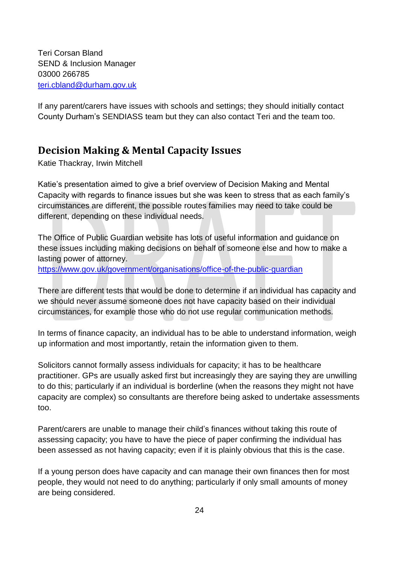Teri Corsan Bland SEND & Inclusion Manager 03000 266785 [teri.cbland@durham.gov.uk](mailto:teri.cbland@durham.gov.uk)

If any parent/carers have issues with schools and settings; they should initially contact County Durham's SENDIASS team but they can also contact Teri and the team too.

## <span id="page-23-0"></span>**Decision Making & Mental Capacity Issues**

Katie Thackray, Irwin Mitchell

Katie's presentation aimed to give a brief overview of Decision Making and Mental Capacity with regards to finance issues but she was keen to stress that as each family's circumstances are different, the possible routes families may need to take could be different, depending on these individual needs.

The Office of Public Guardian website has lots of useful information and guidance on these issues including making decisions on behalf of someone else and how to make a lasting power of attorney.

<https://www.gov.uk/government/organisations/office-of-the-public-guardian>

There are different tests that would be done to determine if an individual has capacity and we should never assume someone does not have capacity based on their individual circumstances, for example those who do not use regular communication methods.

In terms of finance capacity, an individual has to be able to understand information, weigh up information and most importantly, retain the information given to them.

Solicitors cannot formally assess individuals for capacity; it has to be healthcare practitioner. GPs are usually asked first but increasingly they are saying they are unwilling to do this; particularly if an individual is borderline (when the reasons they might not have capacity are complex) so consultants are therefore being asked to undertake assessments too.

Parent/carers are unable to manage their child's finances without taking this route of assessing capacity; you have to have the piece of paper confirming the individual has been assessed as not having capacity; even if it is plainly obvious that this is the case.

If a young person does have capacity and can manage their own finances then for most people, they would not need to do anything; particularly if only small amounts of money are being considered.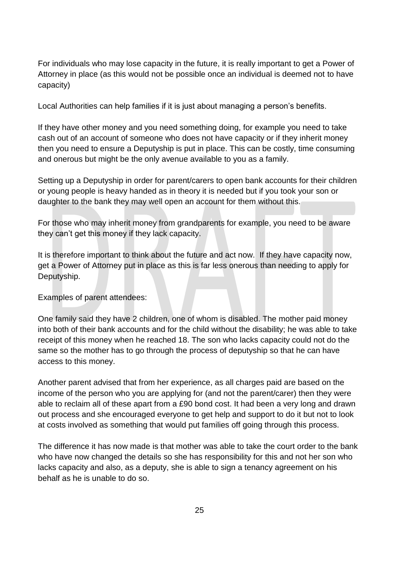For individuals who may lose capacity in the future, it is really important to get a Power of Attorney in place (as this would not be possible once an individual is deemed not to have capacity)

Local Authorities can help families if it is just about managing a person's benefits.

If they have other money and you need something doing, for example you need to take cash out of an account of someone who does not have capacity or if they inherit money then you need to ensure a Deputyship is put in place. This can be costly, time consuming and onerous but might be the only avenue available to you as a family.

Setting up a Deputyship in order for parent/carers to open bank accounts for their children or young people is heavy handed as in theory it is needed but if you took your son or daughter to the bank they may well open an account for them without this.

For those who may inherit money from grandparents for example, you need to be aware they can't get this money if they lack capacity.

It is therefore important to think about the future and act now. If they have capacity now, get a Power of Attorney put in place as this is far less onerous than needing to apply for Deputyship.

Examples of parent attendees:

One family said they have 2 children, one of whom is disabled. The mother paid money into both of their bank accounts and for the child without the disability; he was able to take receipt of this money when he reached 18. The son who lacks capacity could not do the same so the mother has to go through the process of deputyship so that he can have access to this money.

Another parent advised that from her experience, as all charges paid are based on the income of the person who you are applying for (and not the parent/carer) then they were able to reclaim all of these apart from a £90 bond cost. It had been a very long and drawn out process and she encouraged everyone to get help and support to do it but not to look at costs involved as something that would put families off going through this process.

The difference it has now made is that mother was able to take the court order to the bank who have now changed the details so she has responsibility for this and not her son who lacks capacity and also, as a deputy, she is able to sign a tenancy agreement on his behalf as he is unable to do so.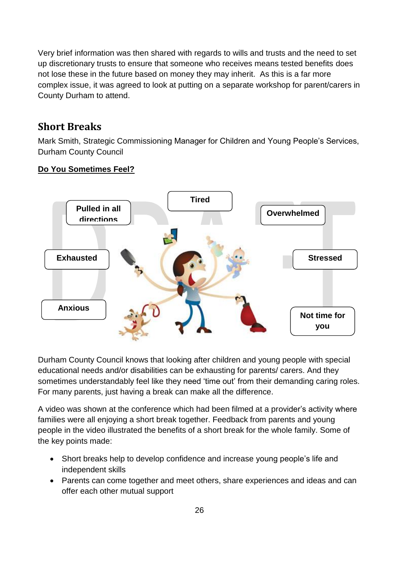Very brief information was then shared with regards to wills and trusts and the need to set up discretionary trusts to ensure that someone who receives means tested benefits does not lose these in the future based on money they may inherit. As this is a far more complex issue, it was agreed to look at putting on a separate workshop for parent/carers in County Durham to attend.

### <span id="page-25-0"></span>**Short Breaks**

Mark Smith, Strategic Commissioning Manager for Children and Young People's Services, Durham County Council

#### **Do You Sometimes Feel?**



Durham County Council knows that looking after children and young people with special educational needs and/or disabilities can be exhausting for parents/ carers. And they sometimes understandably feel like they need 'time out' from their demanding caring roles. For many parents, just having a break can make all the difference.

A video was shown at the conference which had been filmed at a provider's activity where families were all enjoying a short break together. Feedback from parents and young people in the video illustrated the benefits of a short break for the whole family. Some of the key points made:

- Short breaks help to develop confidence and increase young people's life and independent skills
- Parents can come together and meet others, share experiences and ideas and can offer each other mutual support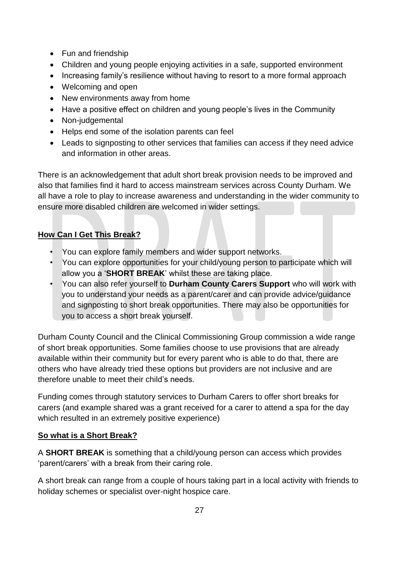- Fun and friendship
- Children and young people enjoying activities in a safe, supported environment
- Increasing family's resilience without having to resort to a more formal approach
- Welcoming and open
- New environments away from home
- Have a positive effect on children and young people's lives in the Community
- Non-judgemental
- Helps end some of the isolation parents can feel
- Leads to signposting to other services that families can access if they need advice and information in other areas.

There is an acknowledgement that adult short break provision needs to be improved and also that families find it hard to access mainstream services across County Durham. We all have a role to play to increase awareness and understanding in the wider community to ensure more disabled children are welcomed in wider settings.

#### **How Can I Get This Break?**

- You can explore family members and wider support networks.
- You can explore opportunities for your child/young person to participate which will allow you a '**SHORT BREAK**' whilst these are taking place.
- You can also refer yourself to **Durham County Carers Support** who will work with you to understand your needs as a parent/carer and can provide advice/guidance and signposting to short break opportunities. There may also be opportunities for you to access a short break yourself.

Durham County Council and the Clinical Commissioning Group commission a wide range of short break opportunities. Some families choose to use provisions that are already available within their community but for every parent who is able to do that, there are others who have already tried these options but providers are not inclusive and are therefore unable to meet their child's needs.

Funding comes through statutory services to Durham Carers to offer short breaks for carers (and example shared was a grant received for a carer to attend a spa for the day which resulted in an extremely positive experience)

#### **So what is a Short Break?**

A **SHORT BREAK** is something that a child/young person can access which provides 'parent/carers' with a break from their caring role.

A short break can range from a couple of hours taking part in a local activity with friends to holiday schemes or specialist over-night hospice care.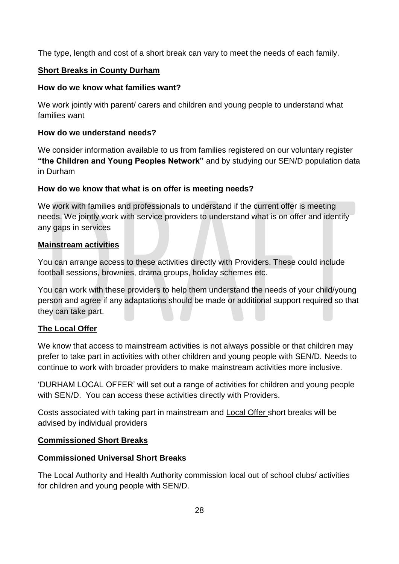The type, length and cost of a short break can vary to meet the needs of each family.

#### **Short Breaks in County Durham**

#### **How do we know what families want?**

We work jointly with parent/ carers and children and young people to understand what families want

#### **How do we understand needs?**

We consider information available to us from families registered on our voluntary register **"the Children and Young Peoples Network"** and by studying our SEN/D population data in Durham

#### **How do we know that what is on offer is meeting needs?**

We work with families and professionals to understand if the current offer is meeting needs. We jointly work with service providers to understand what is on offer and identify any gaps in services

#### **Mainstream activities**

You can arrange access to these activities directly with Providers. These could include football sessions, brownies, drama groups, holiday schemes etc.

You can work with these providers to help them understand the needs of your child/young person and agree if any adaptations should be made or additional support required so that they can take part.

#### **The Local Offer**

We know that access to mainstream activities is not always possible or that children may prefer to take part in activities with other children and young people with SEN/D. Needs to continue to work with broader providers to make mainstream activities more inclusive.

'DURHAM LOCAL OFFER' will set out a range of activities for children and young people with SEN/D. You can access these activities directly with Providers.

Costs associated with taking part in mainstream and Local Offer short breaks will be advised by individual providers

#### **Commissioned Short Breaks**

#### **Commissioned Universal Short Breaks**

The Local Authority and Health Authority commission local out of school clubs/ activities for children and young people with SEN/D.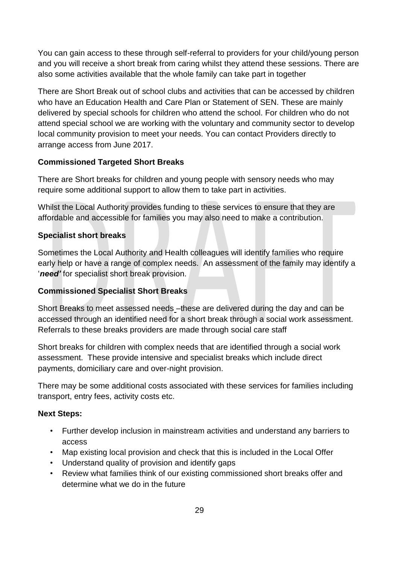You can gain access to these through self-referral to providers for your child/young person and you will receive a short break from caring whilst they attend these sessions. There are also some activities available that the whole family can take part in together

There are Short Break out of school clubs and activities that can be accessed by children who have an Education Health and Care Plan or Statement of SEN. These are mainly delivered by special schools for children who attend the school. For children who do not attend special school we are working with the voluntary and community sector to develop local community provision to meet your needs. You can contact Providers directly to arrange access from June 2017.

#### **Commissioned Targeted Short Breaks**

There are Short breaks for children and young people with sensory needs who may require some additional support to allow them to take part in activities.

Whilst the Local Authority provides funding to these services to ensure that they are affordable and accessible for families you may also need to make a contribution.

#### **Specialist short breaks**

Sometimes the Local Authority and Health colleagues will identify families who require early help or have a range of complex needs. An assessment of the family may identify a '*need'* for specialist short break provision.

#### **Commissioned Specialist Short Breaks**

Short Breaks to meet assessed needs –these are delivered during the day and can be accessed through an identified need for a short break through a social work assessment. Referrals to these breaks providers are made through social care staff

Short breaks for children with complex needs that are identified through a social work assessment. These provide intensive and specialist breaks which include direct payments, domiciliary care and over-night provision.

There may be some additional costs associated with these services for families including transport, entry fees, activity costs etc.

#### **Next Steps:**

- Further develop inclusion in mainstream activities and understand any barriers to access
- Map existing local provision and check that this is included in the Local Offer
- Understand quality of provision and identify gaps
- Review what families think of our existing commissioned short breaks offer and determine what we do in the future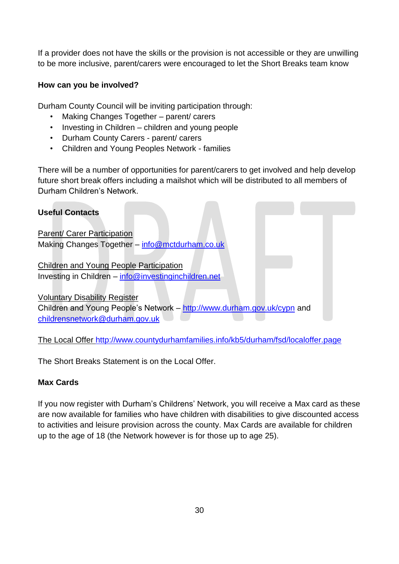If a provider does not have the skills or the provision is not accessible or they are unwilling to be more inclusive, parent/carers were encouraged to let the Short Breaks team know

#### **How can you be involved?**

Durham County Council will be inviting participation through:

- Making Changes Together parent/ carers
- Investing in Children children and young people
- Durham County Carers parent/ carers
- Children and Young Peoples Network families

There will be a number of opportunities for parent/carers to get involved and help develop future short break offers including a mailshot which will be distributed to all members of Durham Children's Network.

## **Useful Contacts** Parent/ Carer Participation Making Changes Together – [info@mctdurham.co.uk](mailto:info@mctdurham.co.uk) Children and Young People Participation Investing in Children – [info@investinginchildren.net](mailto:info@investinginchildren.net) Voluntary Disability Register Children and Young People's Network - <http://www.durham.gov.uk/cypn> and [childrensnetwork@durham.gov.uk](mailto:childrensnetwork@durham.gov.uk)

The Local Offer<http://www.countydurhamfamilies.info/kb5/durham/fsd/localoffer.page>

The Short Breaks Statement is on the Local Offer.

#### **Max Cards**

If you now register with Durham's Childrens' Network, you will receive a Max card as these are now available for families who have children with disabilities to give discounted access to activities and leisure provision across the county. Max Cards are available for children up to the age of 18 (the Network however is for those up to age 25).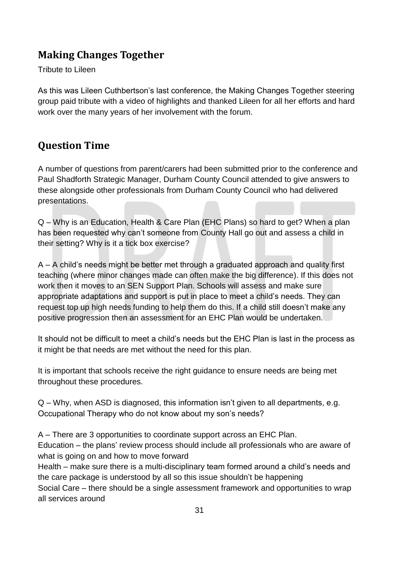## <span id="page-30-0"></span>**Making Changes Together**

#### Tribute to Lileen

As this was Lileen Cuthbertson's last conference, the Making Changes Together steering group paid tribute with a video of highlights and thanked Lileen for all her efforts and hard work over the many years of her involvement with the forum.

## <span id="page-30-1"></span>**Question Time**

A number of questions from parent/carers had been submitted prior to the conference and Paul Shadforth Strategic Manager, Durham County Council attended to give answers to these alongside other professionals from Durham County Council who had delivered presentations.

Q – Why is an Education, Health & Care Plan (EHC Plans) so hard to get? When a plan has been requested why can't someone from County Hall go out and assess a child in their setting? Why is it a tick box exercise?

A – A child's needs might be better met through a graduated approach and quality first teaching (where minor changes made can often make the big difference). If this does not work then it moves to an SEN Support Plan. Schools will assess and make sure appropriate adaptations and support is put in place to meet a child's needs. They can request top up high needs funding to help them do this. If a child still doesn't make any positive progression then an assessment for an EHC Plan would be undertaken.

It should not be difficult to meet a child's needs but the EHC Plan is last in the process as it might be that needs are met without the need for this plan.

It is important that schools receive the right guidance to ensure needs are being met throughout these procedures.

Q – Why, when ASD is diagnosed, this information isn't given to all departments, e.g. Occupational Therapy who do not know about my son's needs?

A – There are 3 opportunities to coordinate support across an EHC Plan.

Education – the plans' review process should include all professionals who are aware of what is going on and how to move forward

Health – make sure there is a multi-disciplinary team formed around a child's needs and the care package is understood by all so this issue shouldn't be happening

Social Care – there should be a single assessment framework and opportunities to wrap all services around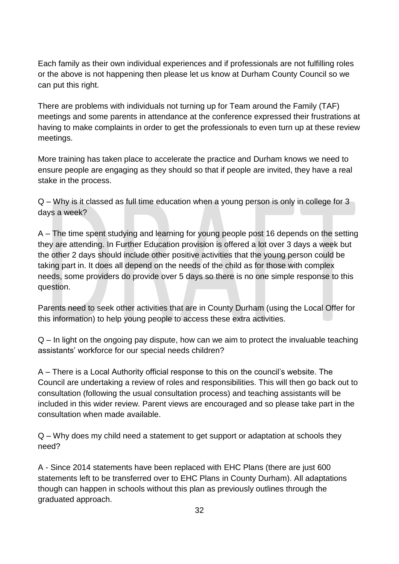Each family as their own individual experiences and if professionals are not fulfilling roles or the above is not happening then please let us know at Durham County Council so we can put this right.

There are problems with individuals not turning up for Team around the Family (TAF) meetings and some parents in attendance at the conference expressed their frustrations at having to make complaints in order to get the professionals to even turn up at these review meetings.

More training has taken place to accelerate the practice and Durham knows we need to ensure people are engaging as they should so that if people are invited, they have a real stake in the process.

Q – Why is it classed as full time education when a young person is only in college for 3 days a week?

A – The time spent studying and learning for young people post 16 depends on the setting they are attending. In Further Education provision is offered a lot over 3 days a week but the other 2 days should include other positive activities that the young person could be taking part in. It does all depend on the needs of the child as for those with complex needs, some providers do provide over 5 days so there is no one simple response to this question.

Parents need to seek other activities that are in County Durham (using the Local Offer for this information) to help young people to access these extra activities.

Q – In light on the ongoing pay dispute, how can we aim to protect the invaluable teaching assistants' workforce for our special needs children?

A – There is a Local Authority official response to this on the council's website. The Council are undertaking a review of roles and responsibilities. This will then go back out to consultation (following the usual consultation process) and teaching assistants will be included in this wider review. Parent views are encouraged and so please take part in the consultation when made available.

Q – Why does my child need a statement to get support or adaptation at schools they need?

A - Since 2014 statements have been replaced with EHC Plans (there are just 600 statements left to be transferred over to EHC Plans in County Durham). All adaptations though can happen in schools without this plan as previously outlines through the graduated approach.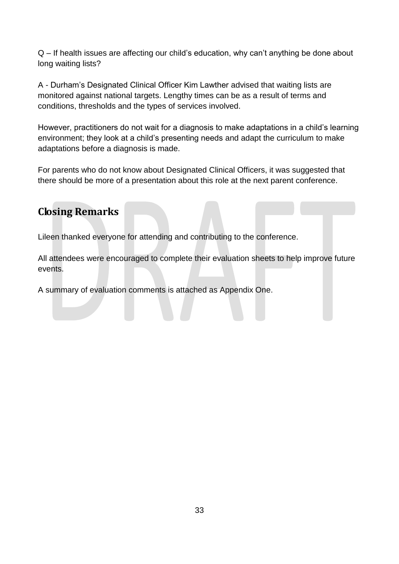Q – If health issues are affecting our child's education, why can't anything be done about long waiting lists?

A - Durham's Designated Clinical Officer Kim Lawther advised that waiting lists are monitored against national targets. Lengthy times can be as a result of terms and conditions, thresholds and the types of services involved.

However, practitioners do not wait for a diagnosis to make adaptations in a child's learning environment; they look at a child's presenting needs and adapt the curriculum to make adaptations before a diagnosis is made.

For parents who do not know about Designated Clinical Officers, it was suggested that there should be more of a presentation about this role at the next parent conference.

## <span id="page-32-0"></span>**Closing Remarks**

Lileen thanked everyone for attending and contributing to the conference.

All attendees were encouraged to complete their evaluation sheets to help improve future events.

A summary of evaluation comments is attached as Appendix One.